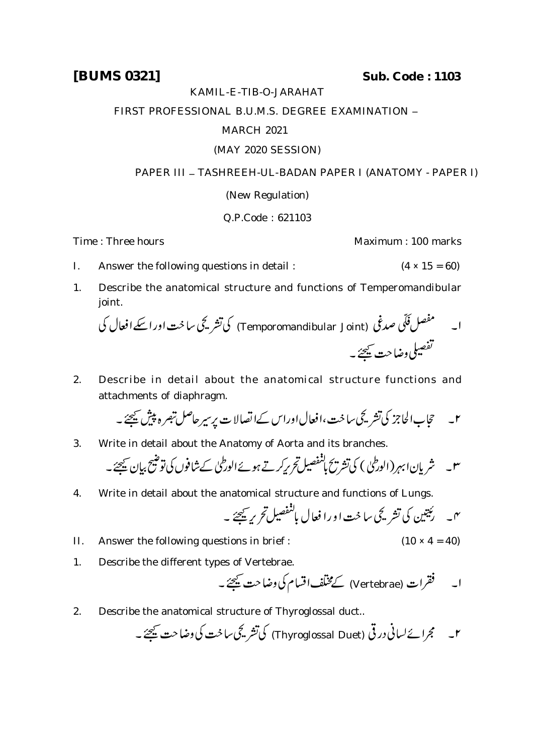**[BUMS 0321] Sub. Code : 1103**

### KAMIL-E-TIB-O-JARAHAT

FIRST PROFESSIONAL B.U.M.S. DEGREE EXAMINATION -

## MARCH 2021

# (MAY 2020 SESSION)

## PAPER III - TASHREEH-UL-BADAN PAPER I (ANATOMY - PAPER I)

## (New Regulation)

## Q.P.Code : 621103

Time : Three hours **Maximum** : 100 marks

- I. Answer the following questions in detail :  $(4 \times 15 = 60)$
- 1. Describe the anatomical structure and functions of Temperomandibular joint.

 (Temporomandibular Joint) 

2. Describe in detail about the anatomical structure functions and attachments of diaphragm.

 

3. Write in detail about the Anatomy of Aorta and its branches.

 

4. Write in detail about the anatomical structure and functions of Lungs.

$$
n = \frac{1}{2} \sum_{i=1}^{n} \frac{1}{2} \sum_{j=1}^{n} \frac{1}{j} \frac{1}{j} \frac{1}{j} \frac{1}{j} \frac{1}{j} \frac{1}{j} \frac{1}{j} \frac{1}{j} \frac{1}{j} \frac{1}{j} \frac{1}{j} \frac{1}{j} \frac{1}{j} \frac{1}{j} \frac{1}{j} \frac{1}{j} \frac{1}{j} \frac{1}{j} \frac{1}{j} \frac{1}{j} \frac{1}{j} \frac{1}{j} \frac{1}{j} \frac{1}{j} \frac{1}{j} \frac{1}{j} \frac{1}{j} \frac{1}{j} \frac{1}{j} \frac{1}{j} \frac{1}{j} \frac{1}{j} \frac{1}{j} \frac{1}{j} \frac{1}{j} \frac{1}{j} \frac{1}{j} \frac{1}{j} \frac{1}{j} \frac{1}{j} \frac{1}{j} \frac{1}{j} \frac{1}{j} \frac{1}{j} \frac{1}{j} \frac{1}{j} \frac{1}{j} \frac{1}{j} \frac{1}{j} \frac{1}{j} \frac{1}{j} \frac{1}{j} \frac{1}{j} \frac{1}{j} \frac{1}{j} \frac{1}{j} \frac{1}{j} \frac{1}{j} \frac{1}{j} \frac{1}{j} \frac{1}{j} \frac{1}{j} \frac{1}{j} \frac{1}{j} \frac{1}{j} \frac{1}{j} \frac{1}{j} \frac{1}{j} \frac{1}{j} \frac{1}{j} \frac{1}{j} \frac{1}{j} \frac{1}{j} \frac{1}{j} \frac{1}{j} \frac{1}{j} \frac{1}{j} \frac{1}{j} \frac{1}{j} \frac{1}{j} \frac{1}{j} \frac{1}{j} \frac{1}{j} \frac{1}{j} \frac{1}{j} \frac{1}{j} \frac{1}{j} \frac{1}{j} \frac{1}{j} \frac{1}{j} \frac{1}{j} \frac{1}{j} \frac{1}{j} \frac{1}{j} \frac{1}{j} \frac{1}{j} \frac{1}{j} \frac{1}{j} \frac{1}{j} \frac{1}{j} \frac{1}{j} \frac{1}{j} \frac{1}{j} \
$$

- II. Answer the following questions in brief :  $(10 \times 4 = 40)$
- 1. Describe the different types of Vertebrae.

(Vertebrae)

2. Describe the anatomical structure of Thyroglossal duct..

(Thyroglossal Duet)